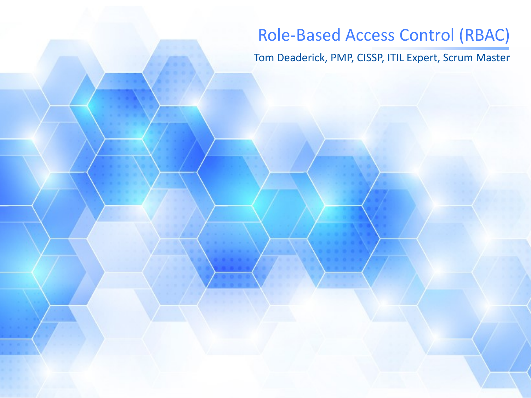# Role-Based Access Control (RBAC)

Tom Deaderick, PMP, CISSP, ITIL Expert, Scrum Master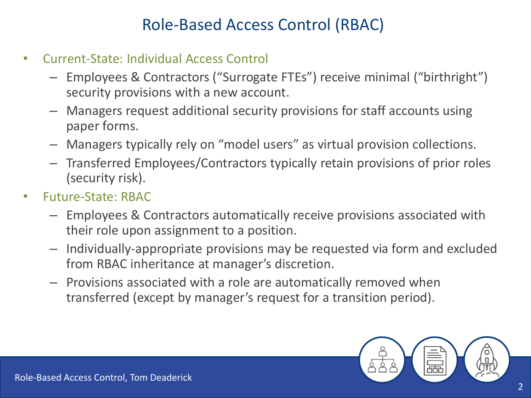# Role-Based Access Control (RBAC)

- Current-State: Individual Access Control
	- Employees & Contractors ("Surrogate FTEs") receive minimal ("birthright") security provisions with a new account.
	- Managers request additional security provisions for staff accounts using paper forms.
	- Managers typically rely on "model users" as virtual provision collections.
	- Transferred Employees/Contractors typically retain provisions of prior roles (security risk).
- Future-State: RBAC
	- Employees & Contractors automatically receive provisions associated with their role upon assignment to a position.
	- Individually-appropriate provisions may be requested via form and excluded from RBAC inheritance at manager's discretion.
	- Provisions associated with a role are automatically removed when transferred (except by manager's request for a transition period).

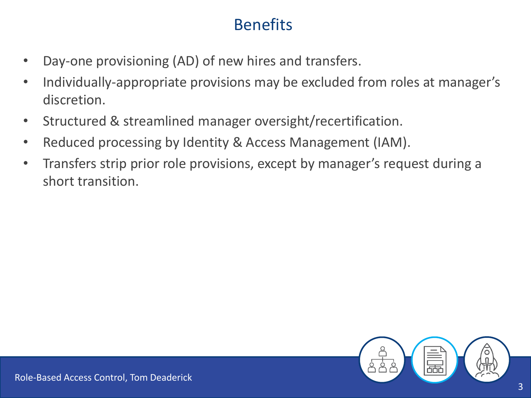# **Benefits**

- Day-one provisioning (AD) of new hires and transfers.
- Individually-appropriate provisions may be excluded from roles at manager's discretion.
- Structured & streamlined manager oversight/recertification.
- Reduced processing by Identity & Access Management (IAM).
- Transfers strip prior role provisions, except by manager's request during a short transition.

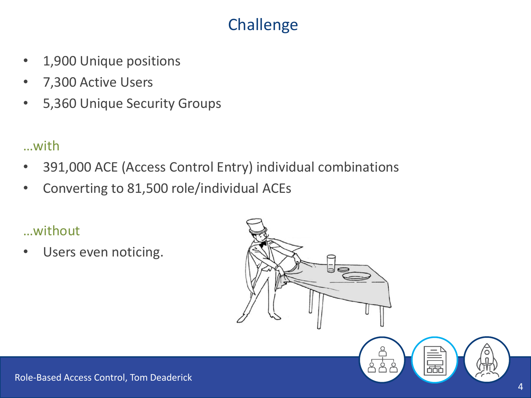# Challenge

- 1,900 Unique positions
- 7,300 Active Users
- 5,360 Unique Security Groups

### …with

- 391,000 ACE (Access Control Entry) individual combinations
- Converting to 81,500 role/individual ACEs

### …without

Users even noticing.



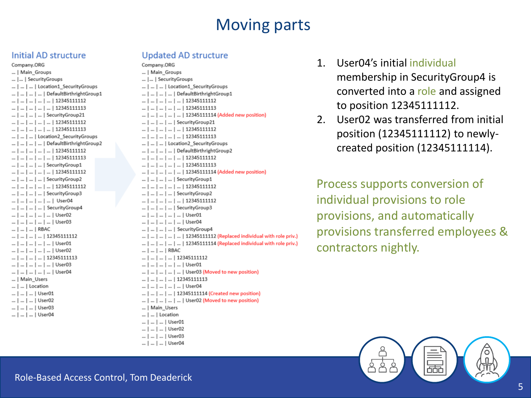## Moving parts

**Initial AD structure**<br>
Company.ORG<br>  $\begin{array}{ccc}\n\ldots \\
\downarrow\n\end{array}$  Main\_Groups<br>  $\begin{array}{ccc}\n\ldots \\
\downarrow\n\end{array}$  Main\_Groups<br>  $\begin{array}{ccc}\n\ldots \\
\downarrow\n\end{array}$  Main\_Groups ... | ... | SecurityGroups ... | ... | Location1\_SecurityGroups ... | ... | ... | DefaultBirthrightGroup1  $\ldots$  |  $\ldots$  |  $\ldots$  |  $\ldots$  |  $\ldots$  | 12345111112  $...$   $...$   $...$   $...$   $...$   $...$   $...$   $...$   $...$   $12345111113$ ... | ... | ... | SecurityGroup21  $...$  |  $...$  |  $...$  |  $...$  |  $...$  |  $12345111112$  $\ldots$  |  $\ldots$  |  $\ldots$  |  $\ldots$  |  $\ldots$  | 12345111113 ... | ... | ... | Location2\_SecurityGroups ... | ... | ... | DefaultBirthrightGroup2  $\ldots$  |  $\ldots$  |  $\ldots$  |  $\ldots$  |  $\ldots$  | 12345111112  $...$  | ... | ... | ... | 12345111113 ... | ... | ... | ... | SecurityGroup1  $\ldots$  |  $\ldots$  |  $\ldots$  |  $\ldots$  |  $\ldots$  | 12345111112 ... | ... | ... | ... | SecurityGroup2  $\ldots$  |  $\ldots$  |  $\ldots$  |  $\ldots$  |  $\ldots$  | 12345111112 ... | ... | ... | ... | SecurityGroup3 ... | ... | ... | ... | User04 ... | ... | ... | SecurityGroup4 ... | ... | ... | ... | ... | User02 ... | ... | ... | ... | ... | User03 ... | ... | ... | RBAC  $...$  |  $...$  |  $...$  |  $...$  | 12345111112 ... | ... | ... | ... | ... | User01 ... | ... | ... | ... | User02  $\ldots$  |  $\ldots$  |  $\ldots$  |  $\ldots$  | 12345111113 ... | ... | ... | ... | ... | User03 ... | ... | ... | ... | ... | User04 ... | Main\_Users ... | ... | Location ... | ... | ... | User01 ... | ... | ... | User02 ... | ... | ... | User03 ... | ... | ... | User04

- ... | ... | SecurityGroups ... | ... | ... | Location1 SecurityGroups ... | ... | ... | ... | DefaultBirthrightGroup1  $\ldots$  |  $\ldots$  |  $\ldots$  |  $\ldots$  |  $\ldots$  | 12345111112  $...$  |  $...$  |  $...$  |  $...$  |  $...$  |  $12345111113$ ... | ... | ... | ... | ... | 12345111114 (Added new position) ... | ... | ... | ... | SecurityGroup21  $\ldots$  |  $\ldots$  |  $\ldots$  |  $\ldots$  |  $\ldots$  | 12345111112  $\ldots$  |  $\ldots$  |  $\ldots$  |  $\ldots$  |  $\ldots$  | 12345111113 ... | ... | ... | Location2\_SecurityGroups ... | ... | ... | ... | DefaultBirthrightGroup2  $...$  |  $...$  |  $...$  |  $...$  |  $...$  | 12345111112 ... | ... | ... | ... | ... | 12345111113 ... | ... | ... | ... | ... | 12345111114 (Added new position) ... | ... | ... | ... | SecurityGroup1  $\ldots$  |  $\ldots$  |  $\ldots$  |  $\ldots$  |  $\ldots$  | 12345111112 ... | ... | ... | ... | SecurityGroup2  $\ldots$  |  $\ldots$  |  $\ldots$  |  $\ldots$  |  $\ldots$  | 12345111112 ... | ... | ... | ... | SecurityGroup3 ... | ... | ... | ... | ... | User01 ... | ... | ... | ... | ... | User04 ... | ... | ... | ... | SecurityGroup4 ... | ... | ... | ... | ... | 12345111112 (Replaced individual with role priv.) ... | ... | ... | ... | ... | 12345111114 (Replaced individual with role priv.) ... | ... | ... | RBAC  $\ldots$  |  $\ldots$  |  $\ldots$  |  $\ldots$  | 12345111112 ... | ... | ... | ... | ... | User01 ... | ... | ... | ... | ... | User03 (Moved to new position)  $\ldots$  |  $\ldots$  |  $\ldots$  |  $\ldots$  | 12345111113 ... | ... | ... | ... | ... | User04 ... | ... | ... | ... | 12345111114 (Created new position) ... | ... | ... | ... | ... | User02 (Moved to new position) ... | Main\_Users ... | ... | Location ... | ... | ... | User01 ... | ... | ... | User02 ... | ... | ... | User03 ... | ... | ... | User04
- 1. User04's initial individual membership in SecurityGroup4 is converted into a role and assigned to position 12345111112.
- 2. User02 was transferred from initial position (12345111112) to newlycreated position (12345111114).

Process supports conversion of individual provisions to role provisions, and automatically provisions transferred employees & contractors nightly.

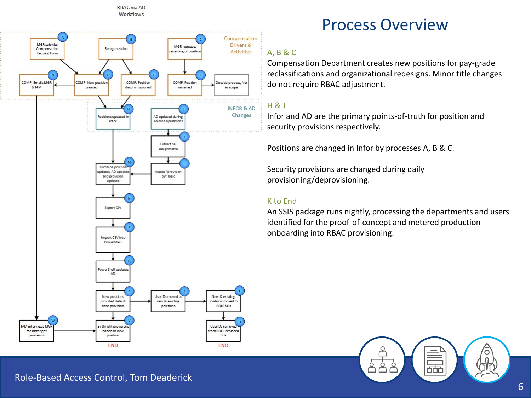



## Process Overview

#### A, B & C

Compensation Department creates new positions for pay-grade reclassifications and organizational redesigns. Minor title changes do not require RBAC adjustment.

#### H & J

Infor and AD are the primary points-of-truth for position and security provisions respectively.

Positions are changed in Infor by processes A, B & C.

Security provisions are changed during daily provisioning/deprovisioning.

#### K to End

An SSIS package runs nightly, processing the departments and users identified for the proof-of-concept and metered production onboarding into RBAC provisioning.

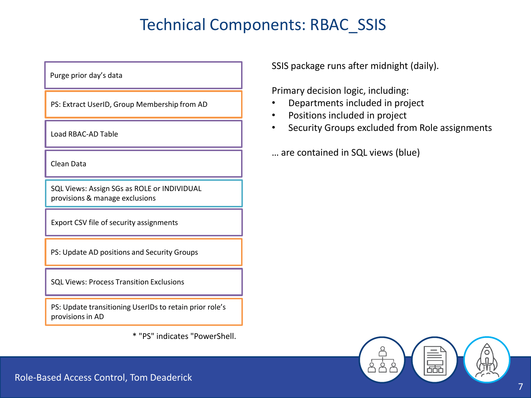# Technical Components: RBAC\_SSIS

Purge prior day's data

PS: Extract UserID, Group Membership from AD

Load RBAC-AD Table

Clean Data

SQL Views: Assign SGs as ROLE or INDIVIDUAL provisions & manage exclusions

Export CSV file of security assignments

PS: Update AD positions and Security Groups

SQL Views: Process Transition Exclusions

PS: Update transitioning UserIDs to retain prior role's provisions in AD

\* "PS" indicates "PowerShell.

SSIS package runs after midnight (daily).

Primary decision logic, including:

- Departments included in project
- Positions included in project
- Security Groups excluded from Role assignments

… are contained in SQL views (blue)

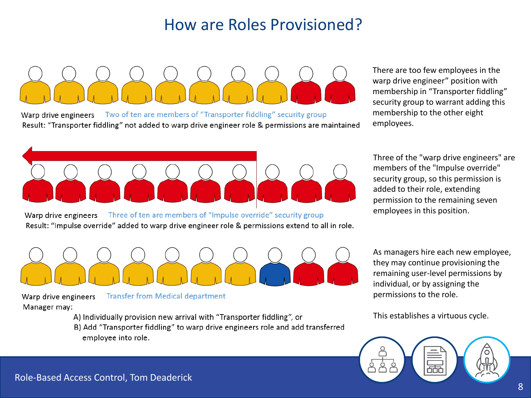# How are Roles Provisioned?

Two of ten are members of "Transporter fiddling" security group Warp drive engineers Result: "Transporter fiddling" not added to warp drive engineer role & permissions are maintained

There are too few employees in the warp drive engineer" position with membership in "Transporter fiddling" security group to warrant adding this membership to the other eight employees.



Three of ten are members of "Impulse override" security group Warp drive engineers Result: "Impulse override" added to warp drive engineer role & permissions extend to all in role. Three of the "warp drive engineers" are members of the "Impulse override" security group, so this permission is added to their role, extending permission to the remaining seven employees in this position.



**Transfer from Medical department** Warp drive engineers Manager may:

- A) Individually provision new arrival with "Transporter fiddling", or
- B) Add "Transporter fiddling" to warp drive engineers role and add transferred employee into role.

As managers hire each new employee, they may continue provisioning the remaining user-level permissions by individual, or by assigning the permissions to the role.

This establishes a virtuous cycle.

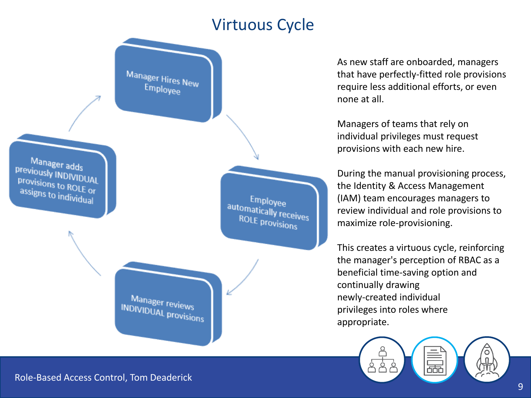## Virtuous Cycle



As new staff are onboarded, managers that have perfectly-fitted role provisions require less additional efforts, or even none at all.

Managers of teams that rely on individual privileges must request provisions with each new hire.

During the manual provisioning process, the Identity & Access Management (IAM) team encourages managers to review individual and role provisions to maximize role-provisioning.

This creates a virtuous cycle, reinforcing the manager's perception of RBAC as a beneficial time-saving option and continually drawing newly-created individual privileges into roles where appropriate.

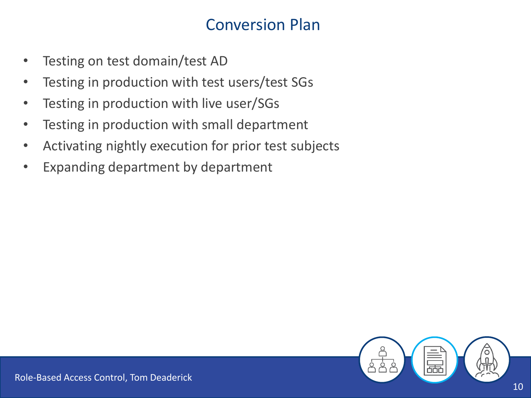# Conversion Plan

- Testing on test domain/test AD
- Testing in production with test users/test SGs
- Testing in production with live user/SGs
- Testing in production with small department
- Activating nightly execution for prior test subjects
- Expanding department by department